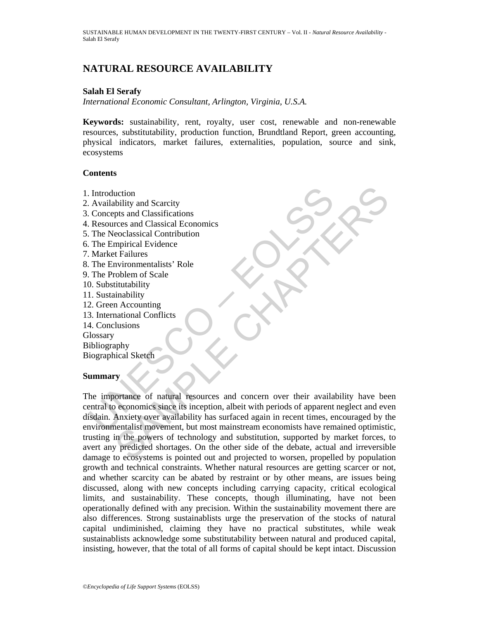# **NATURAL RESOURCE AVAILABILITY**

## **Salah El Serafy**

*International Economic Consultant, Arlington, Virginia, U.S.A.* 

**Keywords:** sustainability, rent, royalty, user cost, renewable and non-renewable resources, substitutability, production function, Brundtland Report, green accounting, physical indicators, market failures, externalities, population, source and sink, ecosystems

## **Contents**

- 1. Introduction
- 2. Availability and Scarcity
- 3. Concepts and Classifications
- 4. Resources and Classical Economics
- 5. The Neoclassical Contribution
- 6. The Empirical Evidence
- 7. Market Failures
- 8. The Environmentalists' Role
- 9. The Problem of Scale
- 10. Substitutability
- 11. Sustainability
- 12. Green Accounting
- 13. International Conflicts
- 14. Conclusions

**Glossary** 

Bibliography

Biographical Sketch

## **Summary**

Introduction<br>
Availability and Scarcity<br>
Concepts and Classifications<br>
Resources and Classical Economics<br>
The Neoclassical Contribution<br>
The Fenpirical Evidence<br>
Market Failures<br>
Market Failures<br>
D. Substitutability<br>
1. Su of the same detections and concerned to the same of the same of the same detections and Classifications<br>
reces and Classifications<br>
ecolassical Contribution<br>
inability<br>
tritutability<br>
tritutability<br>
the same of Scale<br>
same The importance of natural resources and concern over their availability have been central to economics since its inception, albeit with periods of apparent neglect and even disdain. Anxiety over availability has surfaced again in recent times, encouraged by the environmentalist movement, but most mainstream economists have remained optimistic, trusting in the powers of technology and substitution, supported by market forces, to avert any predicted shortages. On the other side of the debate, actual and irreversible damage to ecosystems is pointed out and projected to worsen, propelled by population growth and technical constraints. Whether natural resources are getting scarcer or not, and whether scarcity can be abated by restraint or by other means, are issues being discussed, along with new concepts including carrying capacity, critical ecological limits, and sustainability. These concepts, though illuminating, have not been operationally defined with any precision. Within the sustainability movement there are also differences. Strong sustainablists urge the preservation of the stocks of natural capital undiminished, claiming they have no practical substitutes, while weak sustainablists acknowledge some substitutability between natural and produced capital, insisting, however, that the total of all forms of capital should be kept intact. Discussion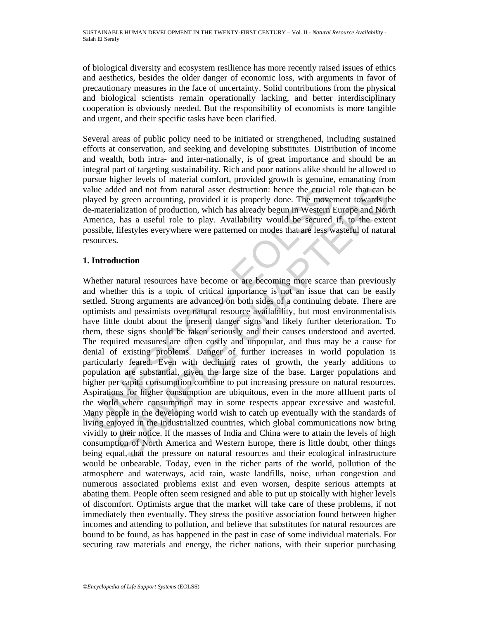of biological diversity and ecosystem resilience has more recently raised issues of ethics and aesthetics, besides the older danger of economic loss, with arguments in favor of precautionary measures in the face of uncertainty. Solid contributions from the physical and biological scientists remain operationally lacking, and better interdisciplinary cooperation is obviously needed. But the responsibility of economists is more tangible and urgent, and their specific tasks have been clarified.

Several areas of public policy need to be initiated or strengthened, including sustained efforts at conservation, and seeking and developing substitutes. Distribution of income and wealth, both intra- and inter-nationally, is of great importance and should be an integral part of targeting sustainability. Rich and poor nations alike should be allowed to pursue higher levels of material comfort, provided growth is genuine, emanating from value added and not from natural asset destruction: hence the crucial role that can be played by green accounting, provided it is properly done. The movement towards the de-materialization of production, which has already begun in Western Europe and North America, has a useful role to play. Availability would be secured if, to the extent possible, lifestyles everywhere were patterned on modes that are less wasteful of natural resources.

## **1. Introduction**

alue added and not from natural asset destruction: hence the crucial<br>ayed by green accounting, provided it is properly done. The move-<br>e-materialization of production, which has already begun in Western In<br>erica, has a use ded and not from natural asset destruction: hence the crucial role that can by green accounting, provided it is properly done. The movement towards the similarization of production, which has already begun in Western Europ Whether natural resources have become or are becoming more scarce than previously and whether this is a topic of critical importance is not an issue that can be easily settled. Strong arguments are advanced on both sides of a continuing debate. There are optimists and pessimists over natural resource availability, but most environmentalists have little doubt about the present danger signs and likely further deterioration. To them, these signs should be taken seriously and their causes understood and averted. The required measures are often costly and unpopular, and thus may be a cause for denial of existing problems. Danger of further increases in world population is particularly feared. Even with declining rates of growth, the yearly additions to population are substantial, given the large size of the base. Larger populations and higher per capita consumption combine to put increasing pressure on natural resources. Aspirations for higher consumption are ubiquitous, even in the more affluent parts of the world where consumption may in some respects appear excessive and wasteful. Many people in the developing world wish to catch up eventually with the standards of living enjoyed in the industrialized countries, which global communications now bring vividly to their notice. If the masses of India and China were to attain the levels of high consumption of North America and Western Europe, there is little doubt, other things being equal, that the pressure on natural resources and their ecological infrastructure would be unbearable. Today, even in the richer parts of the world, pollution of the atmosphere and waterways, acid rain, waste landfills, noise, urban congestion and numerous associated problems exist and even worsen, despite serious attempts at abating them. People often seem resigned and able to put up stoically with higher levels of discomfort. Optimists argue that the market will take care of these problems, if not immediately then eventually. They stress the positive association found between higher incomes and attending to pollution, and believe that substitutes for natural resources are bound to be found, as has happened in the past in case of some individual materials. For securing raw materials and energy, the richer nations, with their superior purchasing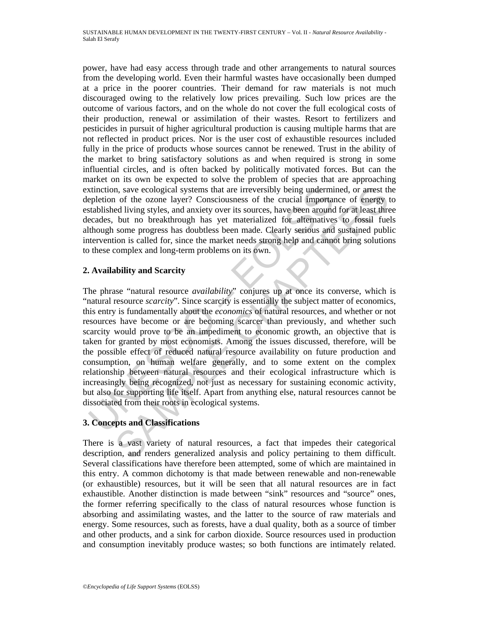power, have had easy access through trade and other arrangements to natural sources from the developing world. Even their harmful wastes have occasionally been dumped at a price in the poorer countries. Their demand for raw materials is not much discouraged owing to the relatively low prices prevailing. Such low prices are the outcome of various factors, and on the whole do not cover the full ecological costs of their production, renewal or assimilation of their wastes. Resort to fertilizers and pesticides in pursuit of higher agricultural production is causing multiple harms that are not reflected in product prices. Nor is the user cost of exhaustible resources included fully in the price of products whose sources cannot be renewed. Trust in the ability of the market to bring satisfactory solutions as and when required is strong in some influential circles, and is often backed by politically motivated forces. But can the market on its own be expected to solve the problem of species that are approaching extinction, save ecological systems that are irreversibly being undermined, or arrest the depletion of the ozone layer? Consciousness of the crucial importance of energy to established living styles, and anxiety over its sources, have been around for at least three decades, but no breakthrough has yet materialized for alternatives to fossil fuels although some progress has doubtless been made. Clearly serious and sustained public intervention is called for, since the market needs strong help and cannot bring solutions to these complex and long-term problems on its own.

## **2. Availability and Scarcity**

xtinction, save ecological systems that are irreversibly being underminated<br>repletion of the ozone layer? Consciousness of the crucial important<br>attablished living styles, and anxiety over its sources, have been around<br>cea n, save coological systems that are irreversibly being undermined, or arrest the of the ozone layer? Consciousness of the crucial importance of energy to and invisy these, and anxiety over its sources, have been around for The phrase "natural resource *availability*" conjures up at once its converse, which is "natural resource *scarcity*". Since scarcity is essentially the subject matter of economics, this entry is fundamentally about the *economics* of natural resources, and whether or not resources have become or are becoming scarcer than previously, and whether such scarcity would prove to be an impediment to economic growth, an objective that is taken for granted by most economists. Among the issues discussed, therefore, will be the possible effect of reduced natural resource availability on future production and consumption, on human welfare generally, and to some extent on the complex relationship between natural resources and their ecological infrastructure which is increasingly being recognized, not just as necessary for sustaining economic activity, but also for supporting life itself. Apart from anything else, natural resources cannot be dissociated from their roots in ecological systems.

# **3. Concepts and Classifications**

There is a vast variety of natural resources, a fact that impedes their categorical description, and renders generalized analysis and policy pertaining to them difficult. Several classifications have therefore been attempted, some of which are maintained in this entry. A common dichotomy is that made between renewable and non-renewable (or exhaustible) resources, but it will be seen that all natural resources are in fact exhaustible. Another distinction is made between "sink" resources and "source" ones, the former referring specifically to the class of natural resources whose function is absorbing and assimilating wastes, and the latter to the source of raw materials and energy. Some resources, such as forests, have a dual quality, both as a source of timber and other products, and a sink for carbon dioxide. Source resources used in production and consumption inevitably produce wastes; so both functions are intimately related.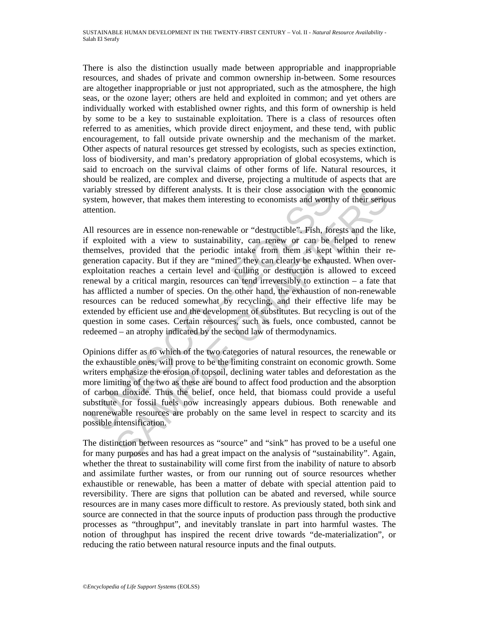There is also the distinction usually made between appropriable and inappropriable resources, and shades of private and common ownership in-between. Some resources are altogether inappropriable or just not appropriated, such as the atmosphere, the high seas, or the ozone layer; others are held and exploited in common; and yet others are individually worked with established owner rights, and this form of ownership is held by some to be a key to sustainable exploitation. There is a class of resources often referred to as amenities, which provide direct enjoyment, and these tend, with public encouragement, to fall outside private ownership and the mechanism of the market. Other aspects of natural resources get stressed by ecologists, such as species extinction, loss of biodiversity, and man's predatory appropriation of global ecosystems, which is said to encroach on the survival claims of other forms of life. Natural resources, it should be realized, are complex and diverse, projecting a multitude of aspects that are variably stressed by different analysts. It is their close association with the economic system, however, that makes them interesting to economists and worthy of their serious attention.

ariably stressed by different analysts. It is their close association w<br>stem, however, that makes them interesting to economists and worth<br>tention.<br>Ill resources are in essence non-renewable or "destructible". Fish, for<br>ex stressed by different analysts. It is their close association with the ceonomic<br>stressed by different analysts. It is their close association with y of their seriou<br>owever, that makes them interesting to economists and wor All resources are in essence non-renewable or "destructible". Fish, forests and the like, if exploited with a view to sustainability, can renew or can be helped to renew themselves, provided that the periodic intake from them is kept within their regeneration capacity. But if they are "mined" they can clearly be exhausted. When overexploitation reaches a certain level and culling or destruction is allowed to exceed renewal by a critical margin, resources can tend irreversibly to extinction – a fate that has afflicted a number of species. On the other hand, the exhaustion of non-renewable resources can be reduced somewhat by recycling, and their effective life may be extended by efficient use and the development of substitutes. But recycling is out of the question in some cases. Certain resources, such as fuels, once combusted, cannot be redeemed – an atrophy indicated by the second law of thermodynamics.

Opinions differ as to which of the two categories of natural resources, the renewable or the exhaustible ones, will prove to be the limiting constraint on economic growth. Some writers emphasize the erosion of topsoil, declining water tables and deforestation as the more limiting of the two as these are bound to affect food production and the absorption of carbon dioxide. Thus the belief, once held, that biomass could provide a useful substitute for fossil fuels now increasingly appears dubious. Both renewable and nonrenewable resources are probably on the same level in respect to scarcity and its possible intensification.

The distinction between resources as "source" and "sink" has proved to be a useful one for many purposes and has had a great impact on the analysis of "sustainability". Again, whether the threat to sustainability will come first from the inability of nature to absorb and assimilate further wastes, or from our running out of source resources whether exhaustible or renewable, has been a matter of debate with special attention paid to reversibility. There are signs that pollution can be abated and reversed, while source resources are in many cases more difficult to restore. As previously stated, both sink and source are connected in that the source inputs of production pass through the productive processes as "throughput", and inevitably translate in part into harmful wastes. The notion of throughput has inspired the recent drive towards "de-materialization", or reducing the ratio between natural resource inputs and the final outputs.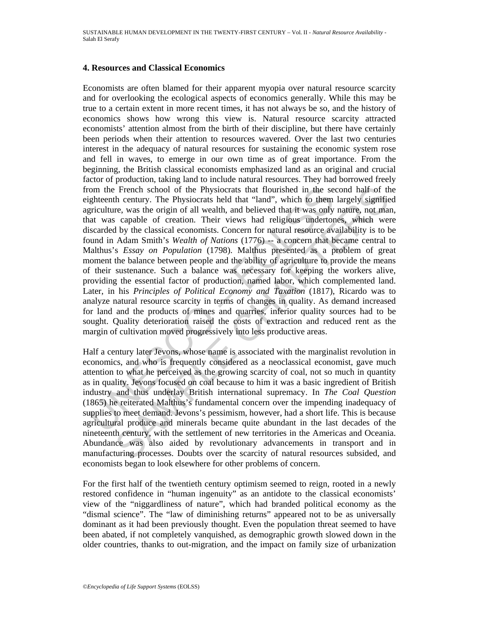#### **4. Resources and Classical Economics**

from the French school of the Physiocrats that flourished in the seighteenth century. The Physiocrats held that "land", which to them<br>girtculture, was the origin of all wealth, and believed that it was only<br>girculture, was French school of the Physiocrats that flourished in the second half of the chemuty. The Physiocrats held that "land", which to them largely significants held that "land", which to them largely significant is capable of cr Economists are often blamed for their apparent myopia over natural resource scarcity and for overlooking the ecological aspects of economics generally. While this may be true to a certain extent in more recent times, it has not always be so, and the history of economics shows how wrong this view is. Natural resource scarcity attracted economists' attention almost from the birth of their discipline, but there have certainly been periods when their attention to resources wavered. Over the last two centuries interest in the adequacy of natural resources for sustaining the economic system rose and fell in waves, to emerge in our own time as of great importance. From the beginning, the British classical economists emphasized land as an original and crucial factor of production, taking land to include natural resources. They had borrowed freely from the French school of the Physiocrats that flourished in the second half of the eighteenth century. The Physiocrats held that "land", which to them largely signified agriculture, was the origin of all wealth, and believed that it was only nature, not man, that was capable of creation. Their views had religious undertones, which were discarded by the classical economists. Concern for natural resource availability is to be found in Adam Smith's *Wealth of Nations* (1776) -- a concern that became central to Malthus's *Essay on Population* (1798). Malthus presented as a problem of great moment the balance between people and the ability of agriculture to provide the means of their sustenance. Such a balance was necessary for keeping the workers alive, providing the essential factor of production, named labor, which complemented land. Later, in his *Principles of Political Economy and Taxation* (1817), Ricardo was to analyze natural resource scarcity in terms of changes in quality. As demand increased for land and the products of mines and quarries, inferior quality sources had to be sought. Quality deterioration raised the costs of extraction and reduced rent as the margin of cultivation moved progressively into less productive areas.

Half a century later Jevons, whose name is associated with the marginalist revolution in economics, and who is frequently considered as a neoclassical economist, gave much attention to what he perceived as the growing scarcity of coal, not so much in quantity as in quality. Jevons focused on coal because to him it was a basic ingredient of British industry and thus underlay British international supremacy. In *The Coal Question*  (1865) he reiterated Malthus's fundamental concern over the impending inadequacy of supplies to meet demand. Jevons's pessimism, however, had a short life. This is because agricultural produce and minerals became quite abundant in the last decades of the nineteenth century, with the settlement of new territories in the Americas and Oceania. Abundance was also aided by revolutionary advancements in transport and in manufacturing processes. Doubts over the scarcity of natural resources subsided, and economists began to look elsewhere for other problems of concern.

For the first half of the twentieth century optimism seemed to reign, rooted in a newly restored confidence in "human ingenuity" as an antidote to the classical economists' view of the "niggardliness of nature", which had branded political economy as the "dismal science". The "law of diminishing returns" appeared not to be as universally dominant as it had been previously thought. Even the population threat seemed to have been abated, if not completely vanquished, as demographic growth slowed down in the older countries, thanks to out-migration, and the impact on family size of urbanization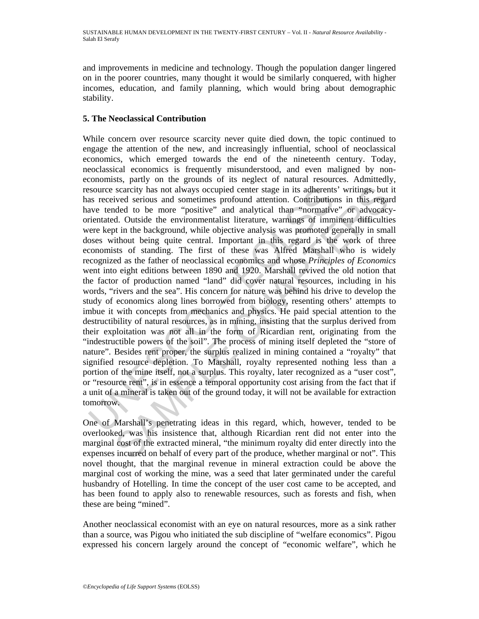and improvements in medicine and technology. Though the population danger lingered on in the poorer countries, many thought it would be similarly conquered, with higher incomes, education, and family planning, which would bring about demographic stability.

## **5. The Neoclassical Contribution**

issuarce scarcity has not always occupied center stage in its adherents<br>as received serious and sometimes profound attention. Contribution<br>ave tended to be more "positive" and analytical than "normative<br>intentated. Outside scarcity has not always occupied center stage in its adherents' writings, but<br>vice serious and sometimes profound attention. Contributions in this regard.<br>
didd to be more "positive" and analytical than "normative" or advo While concern over resource scarcity never quite died down, the topic continued to engage the attention of the new, and increasingly influential, school of neoclassical economics, which emerged towards the end of the nineteenth century. Today, neoclassical economics is frequently misunderstood, and even maligned by noneconomists, partly on the grounds of its neglect of natural resources. Admittedly, resource scarcity has not always occupied center stage in its adherents' writings, but it has received serious and sometimes profound attention. Contributions in this regard have tended to be more "positive" and analytical than "normative" or advocacyorientated. Outside the environmentalist literature, warnings of imminent difficulties were kept in the background, while objective analysis was promoted generally in small doses without being quite central. Important in this regard is the work of three economists of standing. The first of these was Alfred Marshall who is widely recognized as the father of neoclassical economics and whose *Principles of Economics* went into eight editions between 1890 and 1920. Marshall revived the old notion that the factor of production named "land" did cover natural resources, including in his words, "rivers and the sea". His concern for nature was behind his drive to develop the study of economics along lines borrowed from biology, resenting others' attempts to imbue it with concepts from mechanics and physics. He paid special attention to the destructibility of natural resources, as in mining, insisting that the surplus derived from their exploitation was not all in the form of Ricardian rent, originating from the "indestructible powers of the soil". The process of mining itself depleted the "store of nature". Besides rent proper, the surplus realized in mining contained a "royalty" that signified resource depletion. To Marshall, royalty represented nothing less than a portion of the mine itself, not a surplus. This royalty, later recognized as a "user cost", or "resource rent", is in essence a temporal opportunity cost arising from the fact that if a unit of a mineral is taken out of the ground today, it will not be available for extraction tomorrow.

One of Marshall's penetrating ideas in this regard, which, however, tended to be overlooked, was his insistence that, although Ricardian rent did not enter into the marginal cost of the extracted mineral, "the minimum royalty did enter directly into the expenses incurred on behalf of every part of the produce, whether marginal or not". This novel thought, that the marginal revenue in mineral extraction could be above the marginal cost of working the mine, was a seed that later germinated under the careful husbandry of Hotelling. In time the concept of the user cost came to be accepted, and has been found to apply also to renewable resources, such as forests and fish, when these are being "mined".

Another neoclassical economist with an eye on natural resources, more as a sink rather than a source, was Pigou who initiated the sub discipline of "welfare economics". Pigou expressed his concern largely around the concept of "economic welfare", which he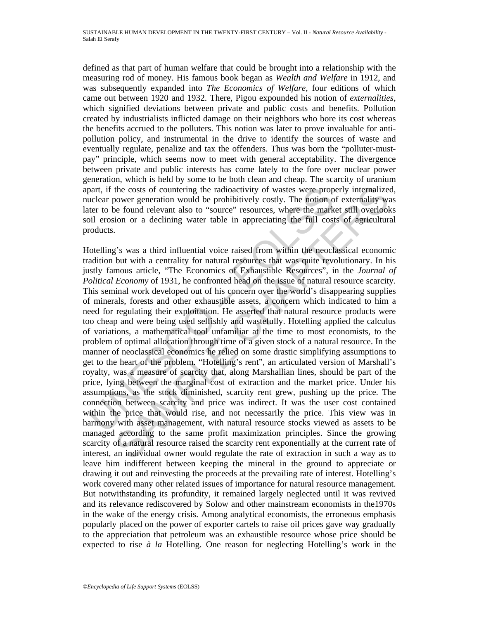defined as that part of human welfare that could be brought into a relationship with the measuring rod of money. His famous book began as *Wealth and Welfare* in 1912, and was subsequently expanded into *The Economics of Welfare,* four editions of which came out between 1920 and 1932. There, Pigou expounded his notion of *externalities*, which signified deviations between private and public costs and benefits. Pollution created by industrialists inflicted damage on their neighbors who bore its cost whereas the benefits accrued to the polluters. This notion was later to prove invaluable for antipollution policy, and instrumental in the drive to identify the sources of waste and eventually regulate, penalize and tax the offenders. Thus was born the "polluter-mustpay" principle, which seems now to meet with general acceptability. The divergence between private and public interests has come lately to the fore over nuclear power generation, which is held by some to be both clean and cheap. The scarcity of uranium apart, if the costs of countering the radioactivity of wastes were properly internalized, nuclear power generation would be prohibitively costly. The notion of externality was later to be found relevant also to "source" resources, where the market still overlooks soil erosion or a declining water table in appreciating the full costs of agricultural products.

part, if the costs of countering the radioactivity of wastes were prop<br>cuclear power generation would be prohibitively costly. The notion o<br>tect to be found relevant also to "source" resources, where the mark<br>oil erosion o the costs of countering the radioactivity of wastes were properly internalized wore generation would be probibitively costly. The notion of extendity way observe generation would be probibitively costly. The notion of exte Hotelling's was a third influential voice raised from within the neoclassical economic tradition but with a centrality for natural resources that was quite revolutionary. In his justly famous article, "The Economics of Exhaustible Resources", in the *Journal of Political Economy* of 1931, he confronted head on the issue of natural resource scarcity. This seminal work developed out of his concern over the world's disappearing supplies of minerals, forests and other exhaustible assets, a concern which indicated to him a need for regulating their exploitation. He asserted that natural resource products were too cheap and were being used selfishly and wastefully. Hotelling applied the calculus of variations, a mathematical tool unfamiliar at the time to most economists, to the problem of optimal allocation through time of a given stock of a natural resource. In the manner of neoclassical economics he relied on some drastic simplifying assumptions to get to the heart of the problem. "Hotelling's rent", an articulated version of Marshall's royalty, was a measure of scarcity that, along Marshallian lines, should be part of the price, lying between the marginal cost of extraction and the market price. Under his assumptions, as the stock diminished, scarcity rent grew, pushing up the price. The connection between scarcity and price was indirect. It was the user cost contained within the price that would rise, and not necessarily the price. This view was in harmony with asset management, with natural resource stocks viewed as assets to be managed according to the same profit maximization principles. Since the growing scarcity of a natural resource raised the scarcity rent exponentially at the current rate of interest, an individual owner would regulate the rate of extraction in such a way as to leave him indifferent between keeping the mineral in the ground to appreciate or drawing it out and reinvesting the proceeds at the prevailing rate of interest. Hotelling's work covered many other related issues of importance for natural resource management. But notwithstanding its profundity, it remained largely neglected until it was revived and its relevance rediscovered by Solow and other mainstream economists in the1970s in the wake of the energy crisis. Among analytical economists, the erroneous emphasis popularly placed on the power of exporter cartels to raise oil prices gave way gradually to the appreciation that petroleum was an exhaustible resource whose price should be expected to rise *à la* Hotelling. One reason for neglecting Hotelling's work in the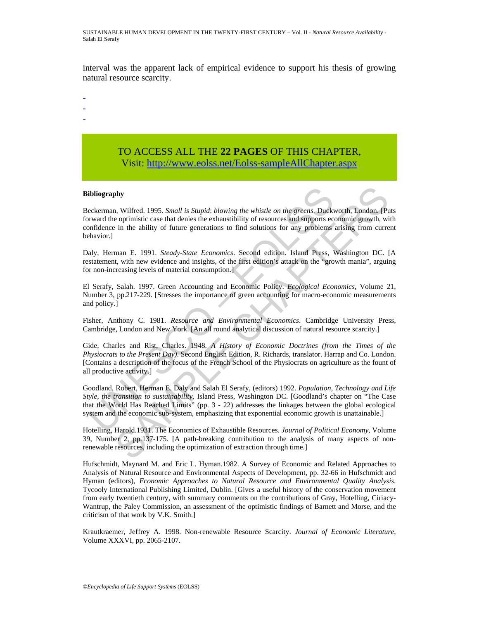SUSTAINABLE HUMAN DEVELOPMENT IN THE TWENTY-FIRST CENTURY – Vol. II - *Natural Resource Availability* - Salah El Serafy

interval was the apparent lack of empirical evidence to support his thesis of growing natural resource scarcity.

- -
- -
- -

# TO ACCESS ALL THE **22 PAGES** OF THIS CHAPTER, Visit: [http://www.eolss.net/Eolss-sampleAllChapter.aspx](https://www.eolss.net/ebooklib/sc_cart.aspx?File=E6-60-04-05)

#### **Bibliography**

**ibliography**<br> **ibliography**<br> **ibliography**<br> **eckerman**, Wilfred. 1995. *Small is Stupid: blowing the whistle on the greens*. Duck<br> **orward the optimistic case that denies the exhaustibility of resources and supports eco<br> shy**<br> **chaptive** 1, 1995. *Small is Stupid: blowing the whistle on the greens*. Duckworth, London. [Put optimistic case that denies the exhaustibility of resources and supports economic growth, with the ability of future Beckerman, Wilfred. 1995. *Small is Stupid*: *blowing the whistle on the greens*. Duckworth, London. [Puts forward the optimistic case that denies the exhaustibility of resources and supports economic growth, with confidence in the ability of future generations to find solutions for any problems arising from current behavior.]

Daly, Herman E. 1991. *Steady-State Economics*. Second edition. Island Press, Washington DC. [A restatement, with new evidence and insights, of the first edition's attack on the "growth mania", arguing for non-increasing levels of material consumption.]

El Serafy, Salah. 1997. Green Accounting and Economic Policy. *Ecological Economics*, Volume 21, Number 3, pp.217-229. [Stresses the importance of green accounting for macro-economic measurements and policy.]

Fisher, Anthony C. 1981. *Resource and Environmental Economics*. Cambridge University Press, Cambridge, London and New York. [An all round analytical discussion of natural resource scarcity.]

Gide, Charles and Rist, Charles. 1948. *A History of Economic Doctrines (from the Times of the Physiocrats to the Present Day)*. Second English Edition, R. Richards, translator. Harrap and Co. London. [Contains a description of the focus of the French School of the Physiocrats on agriculture as the fount of all productive activity.]

Goodland, Robert, Herman E. Daly and Salah El Serafy, (editors) 1992. *Population, Technology and Life Style, the transition to sustainability*. Island Press, Washington DC. [Goodland's chapter on "The Case that the World Has Reached Limits" (pp. 3 - 22) addresses the linkages between the global ecological system and the economic sub-system, emphasizing that exponential economic growth is unattainable.]

Hotelling, Harold.1931. The Economics of Exhaustible Resources. *Journal of Political Economy*, Volume 39, Number 2, pp.137-175. [A path-breaking contribution to the analysis of many aspects of nonrenewable resources, including the optimization of extraction through time.]

Hufschmidt, Maynard M. and Eric L. Hyman.1982. A Survey of Economic and Related Approaches to Analysis of Natural Resource and Environmental Aspects of Development, pp. 32-66 in Hufschmidt and Hyman (editors), *Economic Approaches to Natural Resource and Environmental Quality Analysis*. Tycooly International Publishing Limited, Dublin. [Gives a useful history of the conservation movement from early twentieth century, with summary comments on the contributions of Gray, Hotelling, Ciriacy-Wantrup, the Paley Commission, an assessment of the optimistic findings of Barnett and Morse, and the criticism of that work by V.K. Smith.]

Krautkraemer, Jeffrey A. 1998. Non-renewable Resource Scarcity. *Journal of Economic Literature*, Volume XXXVI, pp. 2065-2107.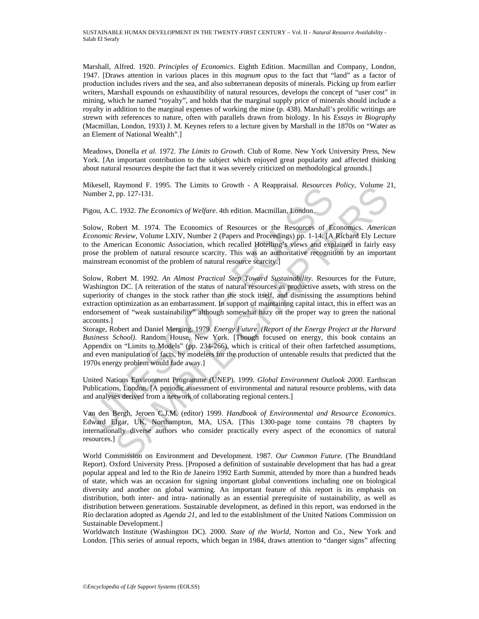SUSTAINABLE HUMAN DEVELOPMENT IN THE TWENTY-FIRST CENTURY – Vol. II - *Natural Resource Availability* - Salah El Serafy

Marshall, Alfred. 1920. *Principles of Economics*. Eighth Edition. Macmillan and Company, London, 1947. [Draws attention in various places in this *magnum opus* to the fact that "land" as a factor of production includes rivers and the sea, and also subterranean deposits of minerals. Picking up from earlier writers, Marshall expounds on exhaustibility of natural resources, develops the concept of "user cost" in mining, which he named "royalty", and holds that the marginal supply price of minerals should include a royalty in addition to the marginal expenses of working the mine (p. 438). Marshall's prolific writings are strewn with references to nature, often with parallels drawn from biology. In his *Essays in Biography* (Macmillan, London, 1933) J. M. Keynes refers to a lecture given by Marshall in the 1870s on "Water as an Element of National Wealth".]

Meadows, Donella *et al.* 1972. *The Limits to Growth*. Club of Rome. New York University Press, New York. [An important contribution to the subject which enjoyed great popularity and affected thinking about natural resources despite the fact that it was severely criticized on methodological grounds.]

Mikesell, Raymond F. 1995. The Limits to Growth - A Reappraisal. *Resources Policy*, Volume 21, Number 2, pp. 127-131.

Pigou, A.C. 1932. *The Economics of Welfare*. 4th edition. Macmillan, London.

Solow, Robert M. 1974. The Economics of Resources or the Resources of Economics. *American Economic Review*, Volume LXIV, Number 2 (Papers and Proceedings) pp. 1-14. [A Richard Ely Lecture to the American Economic Association, which recalled Hotelling's views and explained in fairly easy prose the problem of natural resource scarcity. This was an authoritative recognition by an important mainstream economist of the problem of natural resource scarcity.]

Inseed, Naymont 1: 1995. The Eminis to Glown - A Reapparadi. *Resources*<br>
umber 2, pp. 127-131.<br>
1gou, A.C. 1932. The Economics of Welfare. 4th edition. Macmillan, London.<br>
2gou, A.C. 1932. The Economics of Welfare. 4th ed Expression F. 1995. The Limits to Growth - A Reappraisal. *Resources Poitcy*, Volume 2<br>
Ry. 127-131.<br>
2. 1932. The Economics of Welfare. 4th edition. Macmillan, London.<br>
2. 1932. The Economics of Welfare. 4th edition. Macm Solow, Robert M. 1992. *An Almost Practical Step Toward Sustainability.* Resources for the Future, Washington DC. [A reiteration of the status of natural resources as productive assets, with stress on the superiority of changes in the stock rather than the stock itself, and dismissing the assumptions behind extraction optimization as an embarrassment. In support of maintaining capital intact, this in effect was an endorsement of "weak sustainability" although somewhat hazy on the proper way to green the national accounts.]

Storage, Robert and Daniel Merging. 1979. *Energy Future. (Report of the Energy Project at the Harvard Business School)*. Random House, New York. [Though focused on energy, this book contains an Appendix on "Limits to Models" (pp. 234-266), which is critical of their often farfetched assumptions, and even manipulation of facts, by modelers for the production of untenable results that predicted that the 1970s energy problem would fade away.]

United Nations Environment Programme (UNEP). 1999. *Global Environment Outlook 2000*. Earthscan Publications, London. [A periodic assessment of environmental and natural resource problems, with data and analyses derived from a network of collaborating regional centers.]

Van den Bergh, Jeroen C.J.M. (editor) 1999. *Handbook of Environmental and Resource Economics*. Edward Elgar, UK, Northampton, MA, USA. [This 1300-page tome contains 78 chapters by internationally diverse authors who consider practically every aspect of the economics of natural resources.]

World Commission on Environment and Development. 1987. *Our Common Future*. (The Brundtland Report). Oxford University Press. [Proposed a definition of sustainable development that has had a great popular appeal and led to the Rio de Janeiro 1992 Earth Summit, attended by more than a hundred heads of state, which was an occasion for signing important global conventions including one on biological diversity and another on global warming. An important feature of this report is its emphasis on distribution, both inter- and intra- nationally as an essential prerequisite of sustainability, as well as distribution between generations. Sustainable development, as defined in this report, was endorsed in the Rio declaration adopted as *Agenda 21*, and led to the establishment of the United Nations Commission on Sustainable Development.]

Worldwatch Institute (Washington DC). 2000. *State of the World*, Norton and Co., New York and London. [This series of annual reports, which began in 1984, draws attention to "danger signs" affecting